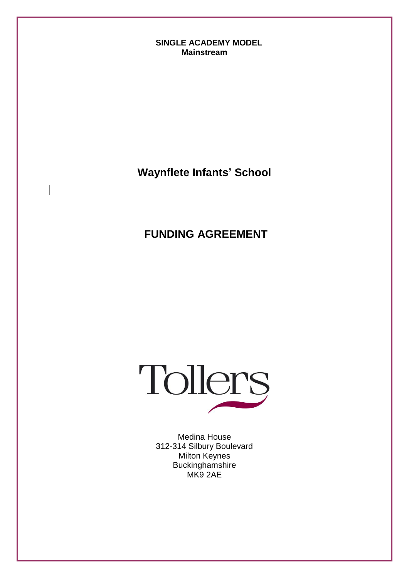#### **SINGLE ACADEMY MODEL Mainstream**

**Waynflete Infants' School**

**FUNDING AGREEMENT**



Medina House 312-314 Silbury Boulevard Milton Keynes Buckinghamshire MK9 2AE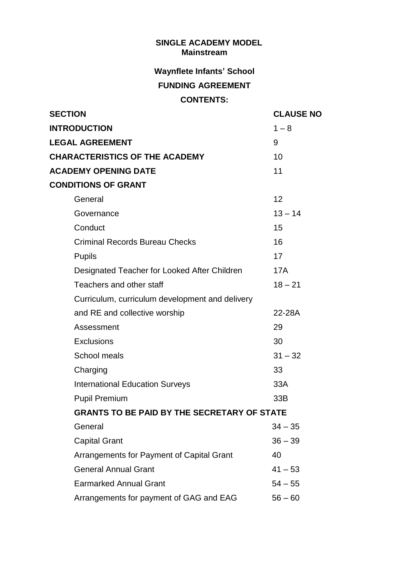#### **SINGLE ACADEMY MODEL Mainstream**

### **Waynflete Infants' School**

# **FUNDING AGREEMENT**

# **CONTENTS:**

| <b>SECTION</b>                                     | <b>CLAUSE NO</b> |
|----------------------------------------------------|------------------|
| <b>INTRODUCTION</b>                                | $1 - 8$          |
| <b>LEGAL AGREEMENT</b>                             | 9                |
| <b>CHARACTERISTICS OF THE ACADEMY</b>              | 10               |
| <b>ACADEMY OPENING DATE</b>                        | 11               |
| <b>CONDITIONS OF GRANT</b>                         |                  |
| General                                            | 12               |
| Governance                                         | $13 - 14$        |
| Conduct                                            | 15               |
| <b>Criminal Records Bureau Checks</b>              | 16               |
| <b>Pupils</b>                                      | 17               |
| Designated Teacher for Looked After Children       | <b>17A</b>       |
| Teachers and other staff                           | $18 - 21$        |
| Curriculum, curriculum development and delivery    |                  |
| and RE and collective worship                      | 22-28A           |
| Assessment                                         | 29               |
| <b>Exclusions</b>                                  | 30               |
| School meals                                       | $31 - 32$        |
| Charging                                           | 33               |
| <b>International Education Surveys</b>             | 33A              |
| <b>Pupil Premium</b>                               | 33B              |
| <b>GRANTS TO BE PAID BY THE SECRETARY OF STATE</b> |                  |
| General                                            | $34 - 35$        |
| <b>Capital Grant</b>                               | $36 - 39$        |
| Arrangements for Payment of Capital Grant          | 40               |
| <b>General Annual Grant</b>                        | $41 - 53$        |
| <b>Earmarked Annual Grant</b>                      | $54 - 55$        |
| Arrangements for payment of GAG and EAG            | $56 - 60$        |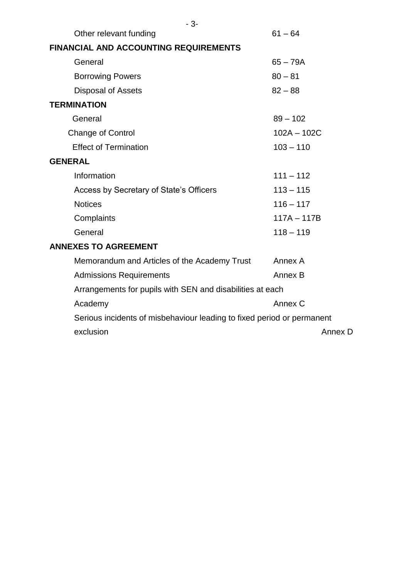| $-3-$                                                                  |               |
|------------------------------------------------------------------------|---------------|
| Other relevant funding                                                 | $61 - 64$     |
| FINANCIAL AND ACCOUNTING REQUIREMENTS                                  |               |
| General                                                                | $65 - 79A$    |
| <b>Borrowing Powers</b>                                                | $80 - 81$     |
| <b>Disposal of Assets</b>                                              | $82 - 88$     |
| <b>TERMINATION</b>                                                     |               |
| General                                                                | $89 - 102$    |
| <b>Change of Control</b>                                               | $102A - 102C$ |
| <b>Effect of Termination</b>                                           | $103 - 110$   |
| <b>GENERAL</b>                                                         |               |
| Information                                                            | $111 - 112$   |
| Access by Secretary of State's Officers                                | $113 - 115$   |
| <b>Notices</b>                                                         | $116 - 117$   |
| Complaints                                                             | $117A - 117B$ |
| General                                                                | $118 - 119$   |
| <b>ANNEXES TO AGREEMENT</b>                                            |               |
| Memorandum and Articles of the Academy Trust                           | Annex A       |
| <b>Admissions Requirements</b>                                         | Annex B       |
| Arrangements for pupils with SEN and disabilities at each              |               |
| Academy                                                                | Annex C       |
| Serious incidents of misbehaviour leading to fixed period or permanent |               |
| exclusion                                                              | Annex D       |
|                                                                        |               |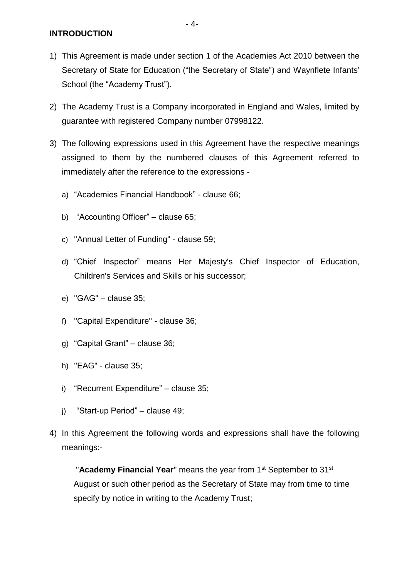**INTRODUCTION**

- 1) This Agreement is made under section 1 of the Academies Act 2010 between the Secretary of State for Education ("the Secretary of State") and Waynflete Infants' School (the "Academy Trust").
- 2) The Academy Trust is a Company incorporated in England and Wales, limited by guarantee with registered Company number 07998122.
- 3) The following expressions used in this Agreement have the respective meanings assigned to them by the numbered clauses of this Agreement referred to immediately after the reference to the expressions
	- a) "Academies Financial Handbook" clause 66;
	- b) "Accounting Officer" clause 65;
	- c) "Annual Letter of Funding" clause 59;
	- d) "Chief Inspector" means Her Majesty's Chief Inspector of Education, Children's Services and Skills or his successor;
	- e) "GAG" clause 35;
	- f) "Capital Expenditure" clause 36;
	- g) "Capital Grant" clause 36;
	- h) "EAG" clause 35;
	- i) "Recurrent Expenditure" clause 35;
	- j) "Start-up Period" clause 49;
- 4) In this Agreement the following words and expressions shall have the following meanings:-

"**Academy Financial Year**" means the year from 1<sup>st</sup> September to 31<sup>st</sup> August or such other period as the Secretary of State may from time to time specify by notice in writing to the Academy Trust;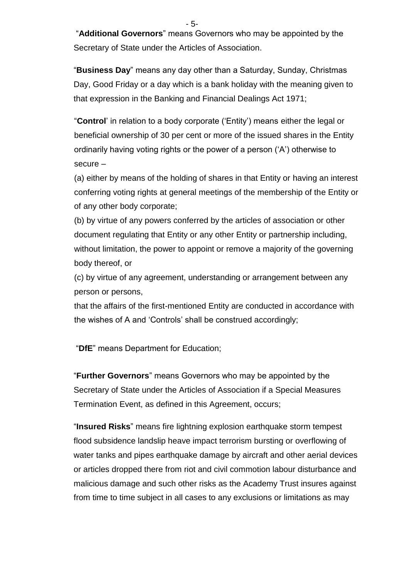- 5-

"**Additional Governors**" means Governors who may be appointed by the Secretary of State under the Articles of Association.

"**Business Day**" means any day other than a Saturday, Sunday, Christmas Day, Good Friday or a day which is a bank holiday with the meaning given to that expression in the Banking and Financial Dealings Act 1971;

"**Control**' in relation to a body corporate ('Entity') means either the legal or beneficial ownership of 30 per cent or more of the issued shares in the Entity ordinarily having voting rights or the power of a person ('A') otherwise to secure –

(a) either by means of the holding of shares in that Entity or having an interest conferring voting rights at general meetings of the membership of the Entity or of any other body corporate;

(b) by virtue of any powers conferred by the articles of association or other document regulating that Entity or any other Entity or partnership including, without limitation, the power to appoint or remove a majority of the governing body thereof, or

(c) by virtue of any agreement, understanding or arrangement between any person or persons,

that the affairs of the first-mentioned Entity are conducted in accordance with the wishes of A and 'Controls' shall be construed accordingly;

"**DfE**" means Department for Education;

"**Further Governors**" means Governors who may be appointed by the Secretary of State under the Articles of Association if a Special Measures Termination Event, as defined in this Agreement, occurs;

"**Insured Risks**" means fire lightning explosion earthquake storm tempest flood subsidence landslip heave impact terrorism bursting or overflowing of water tanks and pipes earthquake damage by aircraft and other aerial devices or articles dropped there from riot and civil commotion labour disturbance and malicious damage and such other risks as the Academy Trust insures against from time to time subject in all cases to any exclusions or limitations as may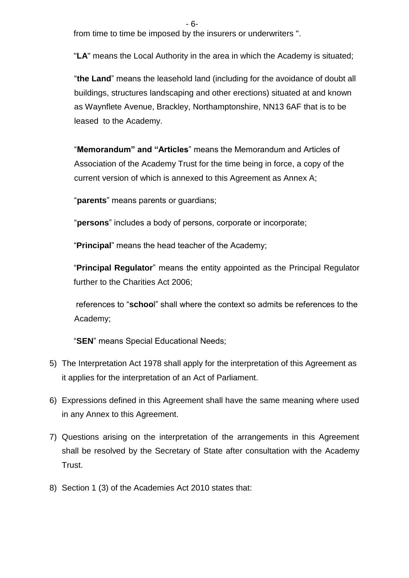from time to time be imposed by the insurers or underwriters ".

"**LA**" means the Local Authority in the area in which the Academy is situated;

"**the Land**" means the leasehold land (including for the avoidance of doubt all buildings, structures landscaping and other erections) situated at and known as Waynflete Avenue, Brackley, Northamptonshire, NN13 6AF that is to be leased to the Academy.

"**Memorandum" and "Articles**" means the Memorandum and Articles of Association of the Academy Trust for the time being in force, a copy of the current version of which is annexed to this Agreement as Annex A;

"**parents**" means parents or guardians;

"**persons**" includes a body of persons, corporate or incorporate;

"**Principal**" means the head teacher of the Academy;

"**Principal Regulator**" means the entity appointed as the Principal Regulator further to the Charities Act 2006;

references to "**schoo**l" shall where the context so admits be references to the Academy;

"**SEN**" means Special Educational Needs;

- 5) The Interpretation Act 1978 shall apply for the interpretation of this Agreement as it applies for the interpretation of an Act of Parliament.
- 6) Expressions defined in this Agreement shall have the same meaning where used in any Annex to this Agreement.
- 7) Questions arising on the interpretation of the arrangements in this Agreement shall be resolved by the Secretary of State after consultation with the Academy Trust.
- 8) Section 1 (3) of the Academies Act 2010 states that: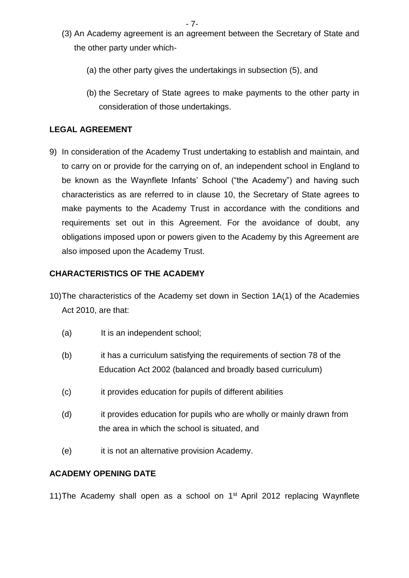- (3) An Academy agreement is an agreement between the Secretary of State and the other party under which-
	- (a) the other party gives the undertakings in subsection (5), and
	- (b) the Secretary of State agrees to make payments to the other party in consideration of those undertakings.

### **LEGAL AGREEMENT**

9) In consideration of the Academy Trust undertaking to establish and maintain, and to carry on or provide for the carrying on of, an independent school in England to be known as the Waynflete Infants' School ("the Academy") and having such characteristics as are referred to in clause 10, the Secretary of State agrees to make payments to the Academy Trust in accordance with the conditions and requirements set out in this Agreement. For the avoidance of doubt, any obligations imposed upon or powers given to the Academy by this Agreement are also imposed upon the Academy Trust.

### **CHARACTERISTICS OF THE ACADEMY**

- 10)The characteristics of the Academy set down in Section 1A(1) of the Academies Act 2010, are that:
	- (a) It is an independent school;
	- (b) it has a curriculum satisfying the requirements of section 78 of the Education Act 2002 (balanced and broadly based curriculum)
	- (c) it provides education for pupils of different abilities
	- (d) it provides education for pupils who are wholly or mainly drawn from the area in which the school is situated, and
	- (e) it is not an alternative provision Academy.

### **ACADEMY OPENING DATE**

11) The Academy shall open as a school on 1<sup>st</sup> April 2012 replacing Waynflete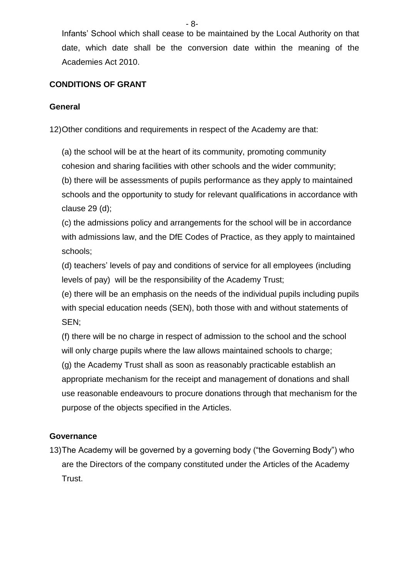Infants' School which shall cease to be maintained by the Local Authority on that date, which date shall be the conversion date within the meaning of the Academies Act 2010.

### **CONDITIONS OF GRANT**

### **General**

12)Other conditions and requirements in respect of the Academy are that:

(a) the school will be at the heart of its community, promoting community cohesion and sharing facilities with other schools and the wider community;

(b) there will be assessments of pupils performance as they apply to maintained schools and the opportunity to study for relevant qualifications in accordance with clause 29 (d);

(c) the admissions policy and arrangements for the school will be in accordance with admissions law, and the DfE Codes of Practice, as they apply to maintained schools;

(d) teachers' levels of pay and conditions of service for all employees (including levels of pay) will be the responsibility of the Academy Trust;

(e) there will be an emphasis on the needs of the individual pupils including pupils with special education needs (SEN), both those with and without statements of SEN;

(f) there will be no charge in respect of admission to the school and the school will only charge pupils where the law allows maintained schools to charge; (g) the Academy Trust shall as soon as reasonably practicable establish an appropriate mechanism for the receipt and management of donations and shall use reasonable endeavours to procure donations through that mechanism for the purpose of the objects specified in the Articles.

### **Governance**

13)The Academy will be governed by a governing body ("the Governing Body") who are the Directors of the company constituted under the Articles of the Academy Trust.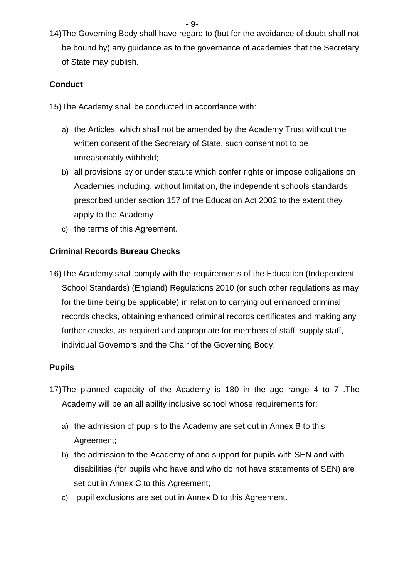- 9-

14)The Governing Body shall have regard to (but for the avoidance of doubt shall not be bound by) any guidance as to the governance of academies that the Secretary of State may publish.

### **Conduct**

15)The Academy shall be conducted in accordance with:

- a) the Articles, which shall not be amended by the Academy Trust without the written consent of the Secretary of State, such consent not to be unreasonably withheld;
- b) all provisions by or under statute which confer rights or impose obligations on Academies including, without limitation, the independent schools standards prescribed under section 157 of the Education Act 2002 to the extent they apply to the Academy
- c) the terms of this Agreement.

### **Criminal Records Bureau Checks**

16)The Academy shall comply with the requirements of the Education (Independent School Standards) (England) Regulations 2010 (or such other regulations as may for the time being be applicable) in relation to carrying out enhanced criminal records checks, obtaining enhanced criminal records certificates and making any further checks, as required and appropriate for members of staff, supply staff, individual Governors and the Chair of the Governing Body.

### **Pupils**

- 17)The planned capacity of the Academy is 180 in the age range 4 to 7 .The Academy will be an all ability inclusive school whose requirements for:
	- a) the admission of pupils to the Academy are set out in Annex B to this Agreement;
	- b) the admission to the Academy of and support for pupils with SEN and with disabilities (for pupils who have and who do not have statements of SEN) are set out in Annex C to this Agreement;
	- c) pupil exclusions are set out in Annex D to this Agreement.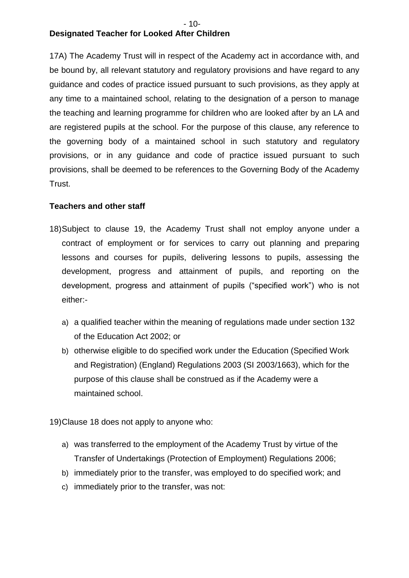#### - 10- **Designated Teacher for Looked After Children**

17A) The Academy Trust will in respect of the Academy act in accordance with, and be bound by, all relevant statutory and regulatory provisions and have regard to any guidance and codes of practice issued pursuant to such provisions, as they apply at any time to a maintained school, relating to the designation of a person to manage the teaching and learning programme for children who are looked after by an LA and are registered pupils at the school. For the purpose of this clause, any reference to the governing body of a maintained school in such statutory and regulatory provisions, or in any guidance and code of practice issued pursuant to such provisions, shall be deemed to be references to the Governing Body of the Academy Trust.

### **Teachers and other staff**

- 18)Subject to clause 19, the Academy Trust shall not employ anyone under a contract of employment or for services to carry out planning and preparing lessons and courses for pupils, delivering lessons to pupils, assessing the development, progress and attainment of pupils, and reporting on the development, progress and attainment of pupils ("specified work") who is not either:
	- a) a qualified teacher within the meaning of regulations made under section 132 of the Education Act 2002; or
	- b) otherwise eligible to do specified work under the Education (Specified Work and Registration) (England) Regulations 2003 (SI 2003/1663), which for the purpose of this clause shall be construed as if the Academy were a maintained school.

19)Clause 18 does not apply to anyone who:

- a) was transferred to the employment of the Academy Trust by virtue of the Transfer of Undertakings (Protection of Employment) Regulations 2006;
- b) immediately prior to the transfer, was employed to do specified work; and
- c) immediately prior to the transfer, was not: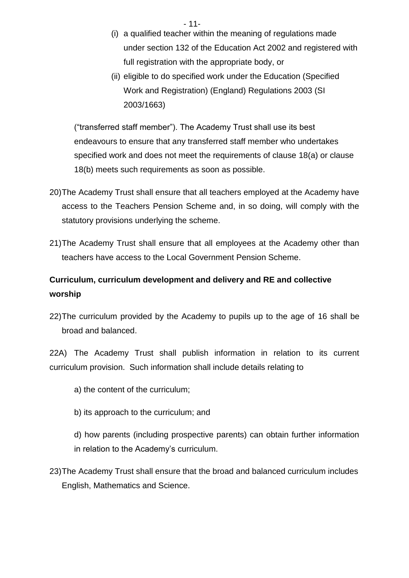- 11-

- (i) a qualified teacher within the meaning of regulations made under section 132 of the Education Act 2002 and registered with full registration with the appropriate body, or
- (ii) eligible to do specified work under the Education (Specified Work and Registration) (England) Regulations 2003 (SI 2003/1663)

("transferred staff member"). The Academy Trust shall use its best endeavours to ensure that any transferred staff member who undertakes specified work and does not meet the requirements of clause 18(a) or clause 18(b) meets such requirements as soon as possible.

- 20)The Academy Trust shall ensure that all teachers employed at the Academy have access to the Teachers Pension Scheme and, in so doing, will comply with the statutory provisions underlying the scheme.
- 21)The Academy Trust shall ensure that all employees at the Academy other than teachers have access to the Local Government Pension Scheme.

# **Curriculum, curriculum development and delivery and RE and collective worship**

22)The curriculum provided by the Academy to pupils up to the age of 16 shall be broad and balanced.

22A) The Academy Trust shall publish information in relation to its current curriculum provision. Such information shall include details relating to

- a) the content of the curriculum;
- b) its approach to the curriculum; and

d) how parents (including prospective parents) can obtain further information in relation to the Academy's curriculum.

23)The Academy Trust shall ensure that the broad and balanced curriculum includes English, Mathematics and Science.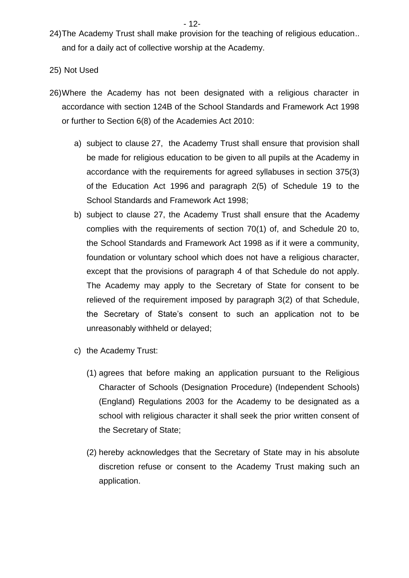24)The Academy Trust shall make provision for the teaching of religious education.. and for a daily act of collective worship at the Academy.

#### 25) Not Used

- 26)Where the Academy has not been designated with a religious character in accordance with section 124B of the School Standards and Framework Act 1998 or further to Section 6(8) of the Academies Act 2010:
	- a) subject to clause 27, the Academy Trust shall ensure that provision shall be made for religious education to be given to all pupils at the Academy in accordance with the requirements for agreed syllabuses in section 375(3) of the Education Act 1996 and paragraph 2(5) of Schedule 19 to the School Standards and Framework Act 1998;
	- b) subject to clause 27, the Academy Trust shall ensure that the Academy complies with the requirements of section 70(1) of, and Schedule 20 to, the School Standards and Framework Act 1998 as if it were a community, foundation or voluntary school which does not have a religious character, except that the provisions of paragraph 4 of that Schedule do not apply. The Academy may apply to the Secretary of State for consent to be relieved of the requirement imposed by paragraph 3(2) of that Schedule, the Secretary of State's consent to such an application not to be unreasonably withheld or delayed;
	- c) the Academy Trust:
		- (1) agrees that before making an application pursuant to the Religious Character of Schools (Designation Procedure) (Independent Schools) (England) Regulations 2003 for the Academy to be designated as a school with religious character it shall seek the prior written consent of the Secretary of State;
		- (2) hereby acknowledges that the Secretary of State may in his absolute discretion refuse or consent to the Academy Trust making such an application.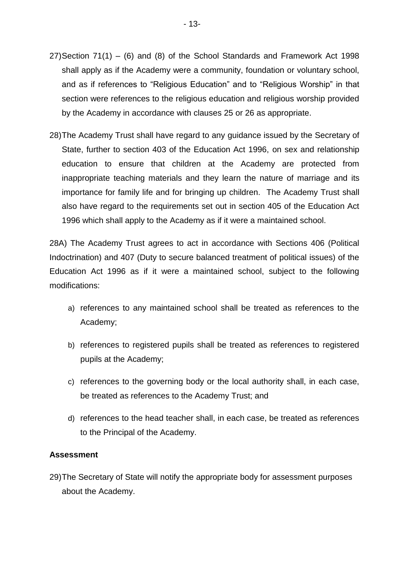- 27)Section 71(1) (6) and (8) of the School Standards and Framework Act 1998 shall apply as if the Academy were a community, foundation or voluntary school, and as if references to "Religious Education" and to "Religious Worship" in that section were references to the religious education and religious worship provided by the Academy in accordance with clauses 25 or 26 as appropriate.
- 28)The Academy Trust shall have regard to any guidance issued by the Secretary of State, further to section 403 of the Education Act 1996, on sex and relationship education to ensure that children at the Academy are protected from inappropriate teaching materials and they learn the nature of marriage and its importance for family life and for bringing up children. The Academy Trust shall also have regard to the requirements set out in section 405 of the Education Act 1996 which shall apply to the Academy as if it were a maintained school.

28A) The Academy Trust agrees to act in accordance with Sections 406 (Political Indoctrination) and 407 (Duty to secure balanced treatment of political issues) of the Education Act 1996 as if it were a maintained school, subject to the following modifications:

- a) references to any maintained school shall be treated as references to the Academy;
- b) references to registered pupils shall be treated as references to registered pupils at the Academy;
- c) references to the governing body or the local authority shall, in each case, be treated as references to the Academy Trust; and
- d) references to the head teacher shall, in each case, be treated as references to the Principal of the Academy.

#### **Assessment**

29)The Secretary of State will notify the appropriate body for assessment purposes about the Academy.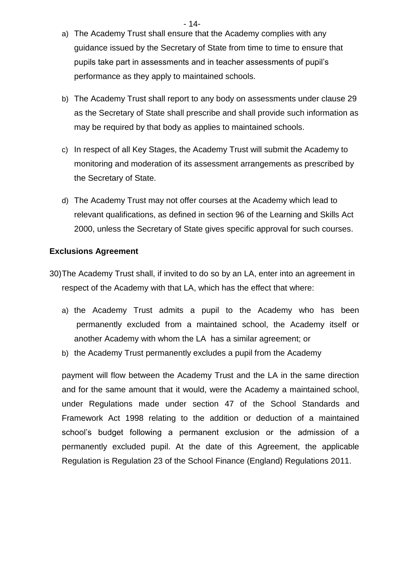- a) The Academy Trust shall ensure that the Academy complies with any guidance issued by the Secretary of State from time to time to ensure that pupils take part in assessments and in teacher assessments of pupil's performance as they apply to maintained schools.
- b) The Academy Trust shall report to any body on assessments under clause 29 as the Secretary of State shall prescribe and shall provide such information as may be required by that body as applies to maintained schools.
- c) In respect of all Key Stages, the Academy Trust will submit the Academy to monitoring and moderation of its assessment arrangements as prescribed by the Secretary of State.
- d) The Academy Trust may not offer courses at the Academy which lead to relevant qualifications, as defined in section 96 of the Learning and Skills Act 2000, unless the Secretary of State gives specific approval for such courses.

#### **Exclusions Agreement**

- 30)The Academy Trust shall, if invited to do so by an LA, enter into an agreement in respect of the Academy with that LA, which has the effect that where:
	- a) the Academy Trust admits a pupil to the Academy who has been permanently excluded from a maintained school, the Academy itself or another Academy with whom the LA has a similar agreement; or
	- b) the Academy Trust permanently excludes a pupil from the Academy

payment will flow between the Academy Trust and the LA in the same direction and for the same amount that it would, were the Academy a maintained school, under Regulations made under section 47 of the School Standards and Framework Act 1998 relating to the addition or deduction of a maintained school's budget following a permanent exclusion or the admission of a permanently excluded pupil. At the date of this Agreement, the applicable Regulation is Regulation 23 of the School Finance (England) Regulations 2011.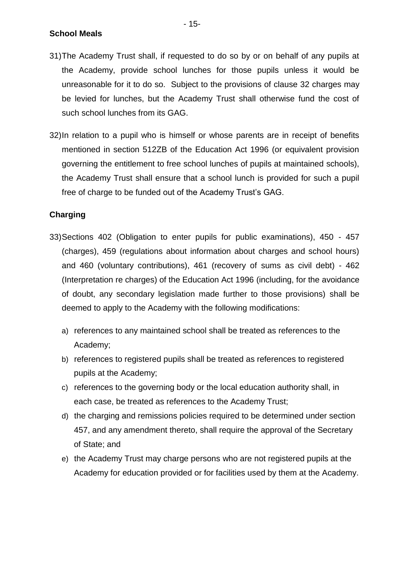**School Meals**

- 31)The Academy Trust shall, if requested to do so by or on behalf of any pupils at the Academy, provide school lunches for those pupils unless it would be unreasonable for it to do so. Subject to the provisions of clause 32 charges may be levied for lunches, but the Academy Trust shall otherwise fund the cost of such school lunches from its GAG.
- 32)In relation to a pupil who is himself or whose parents are in receipt of benefits mentioned in section 512ZB of the Education Act 1996 (or equivalent provision governing the entitlement to free school lunches of pupils at maintained schools), the Academy Trust shall ensure that a school lunch is provided for such a pupil free of charge to be funded out of the Academy Trust's GAG.

### **Charging**

- 33)Sections 402 (Obligation to enter pupils for public examinations), 450 457 (charges), 459 (regulations about information about charges and school hours) and 460 (voluntary contributions), 461 (recovery of sums as civil debt) - 462 (Interpretation re charges) of the Education Act 1996 (including, for the avoidance of doubt, any secondary legislation made further to those provisions) shall be deemed to apply to the Academy with the following modifications:
	- a) references to any maintained school shall be treated as references to the Academy;
	- b) references to registered pupils shall be treated as references to registered pupils at the Academy;
	- c) references to the governing body or the local education authority shall, in each case, be treated as references to the Academy Trust;
	- d) the charging and remissions policies required to be determined under section 457, and any amendment thereto, shall require the approval of the Secretary of State; and
	- e) the Academy Trust may charge persons who are not registered pupils at the Academy for education provided or for facilities used by them at the Academy.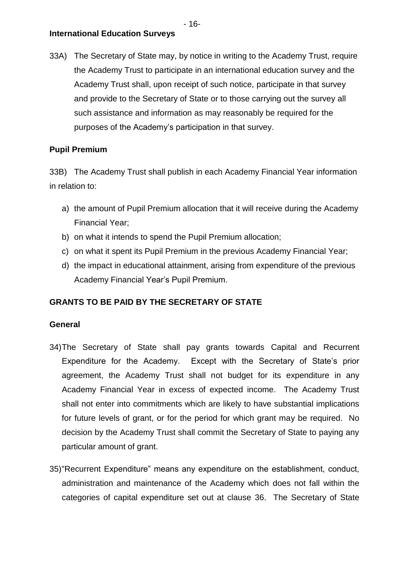**International Education Surveys**

33A) The Secretary of State may, by notice in writing to the Academy Trust, require the Academy Trust to participate in an international education survey and the Academy Trust shall, upon receipt of such notice, participate in that survey and provide to the Secretary of State or to those carrying out the survey all such assistance and information as may reasonably be required for the purposes of the Academy's participation in that survey.

#### **Pupil Premium**

33B) The Academy Trust shall publish in each Academy Financial Year information in relation to:

- a) the amount of Pupil Premium allocation that it will receive during the Academy Financial Year;
- b) on what it intends to spend the Pupil Premium allocation;
- c) on what it spent its Pupil Premium in the previous Academy Financial Year;
- d) the impact in educational attainment, arising from expenditure of the previous Academy Financial Year's Pupil Premium.

### **GRANTS TO BE PAID BY THE SECRETARY OF STATE**

#### **General**

- 34)The Secretary of State shall pay grants towards Capital and Recurrent Expenditure for the Academy. Except with the Secretary of State's prior agreement, the Academy Trust shall not budget for its expenditure in any Academy Financial Year in excess of expected income. The Academy Trust shall not enter into commitments which are likely to have substantial implications for future levels of grant, or for the period for which grant may be required. No decision by the Academy Trust shall commit the Secretary of State to paying any particular amount of grant.
- 35)"Recurrent Expenditure" means any expenditure on the establishment, conduct, administration and maintenance of the Academy which does not fall within the categories of capital expenditure set out at clause 36. The Secretary of State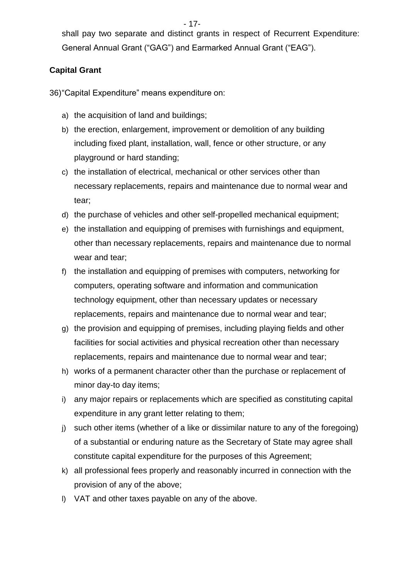shall pay two separate and distinct grants in respect of Recurrent Expenditure: General Annual Grant ("GAG") and Earmarked Annual Grant ("EAG").

## **Capital Grant**

36)"Capital Expenditure" means expenditure on:

- a) the acquisition of land and buildings;
- b) the erection, enlargement, improvement or demolition of any building including fixed plant, installation, wall, fence or other structure, or any playground or hard standing;
- c) the installation of electrical, mechanical or other services other than necessary replacements, repairs and maintenance due to normal wear and tear;
- d) the purchase of vehicles and other self-propelled mechanical equipment;
- e) the installation and equipping of premises with furnishings and equipment, other than necessary replacements, repairs and maintenance due to normal wear and tear;
- f) the installation and equipping of premises with computers, networking for computers, operating software and information and communication technology equipment, other than necessary updates or necessary replacements, repairs and maintenance due to normal wear and tear;
- g) the provision and equipping of premises, including playing fields and other facilities for social activities and physical recreation other than necessary replacements, repairs and maintenance due to normal wear and tear;
- h) works of a permanent character other than the purchase or replacement of minor day-to day items;
- i) any major repairs or replacements which are specified as constituting capital expenditure in any grant letter relating to them;
- j) such other items (whether of a like or dissimilar nature to any of the foregoing) of a substantial or enduring nature as the Secretary of State may agree shall constitute capital expenditure for the purposes of this Agreement;
- k) all professional fees properly and reasonably incurred in connection with the provision of any of the above;
- l) VAT and other taxes payable on any of the above.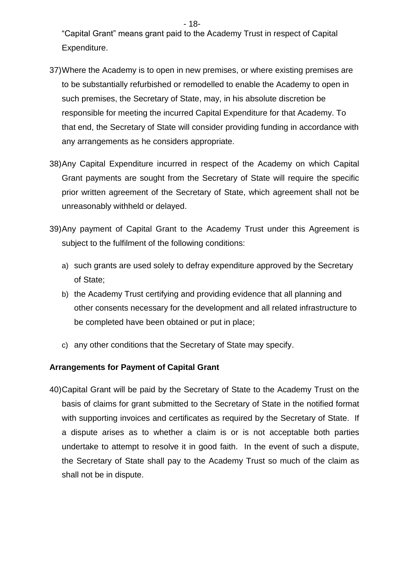"Capital Grant" means grant paid to the Academy Trust in respect of Capital Expenditure.

- 18-

- 37)Where the Academy is to open in new premises, or where existing premises are to be substantially refurbished or remodelled to enable the Academy to open in such premises, the Secretary of State, may, in his absolute discretion be responsible for meeting the incurred Capital Expenditure for that Academy. To that end, the Secretary of State will consider providing funding in accordance with any arrangements as he considers appropriate.
- 38)Any Capital Expenditure incurred in respect of the Academy on which Capital Grant payments are sought from the Secretary of State will require the specific prior written agreement of the Secretary of State, which agreement shall not be unreasonably withheld or delayed.
- 39)Any payment of Capital Grant to the Academy Trust under this Agreement is subject to the fulfilment of the following conditions:
	- a) such grants are used solely to defray expenditure approved by the Secretary of State;
	- b) the Academy Trust certifying and providing evidence that all planning and other consents necessary for the development and all related infrastructure to be completed have been obtained or put in place;
	- c) any other conditions that the Secretary of State may specify.

### **Arrangements for Payment of Capital Grant**

40)Capital Grant will be paid by the Secretary of State to the Academy Trust on the basis of claims for grant submitted to the Secretary of State in the notified format with supporting invoices and certificates as required by the Secretary of State. If a dispute arises as to whether a claim is or is not acceptable both parties undertake to attempt to resolve it in good faith. In the event of such a dispute, the Secretary of State shall pay to the Academy Trust so much of the claim as shall not be in dispute.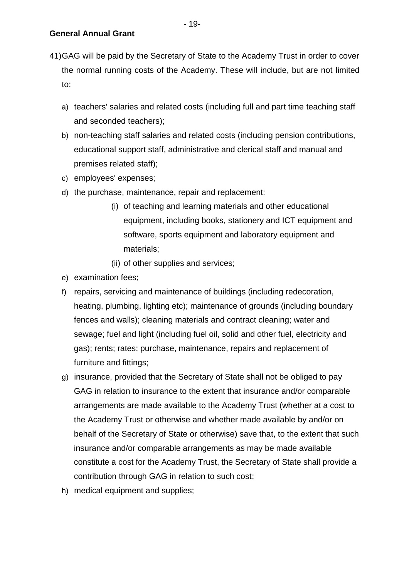- 41)GAG will be paid by the Secretary of State to the Academy Trust in order to cover the normal running costs of the Academy. These will include, but are not limited to:
	- a) teachers' salaries and related costs (including full and part time teaching staff and seconded teachers);
	- b) non-teaching staff salaries and related costs (including pension contributions, educational support staff, administrative and clerical staff and manual and premises related staff);
	- c) employees' expenses;
	- d) the purchase, maintenance, repair and replacement:
		- (i) of teaching and learning materials and other educational equipment, including books, stationery and ICT equipment and software, sports equipment and laboratory equipment and materials;
		- (ii) of other supplies and services;
	- e) examination fees;
	- f) repairs, servicing and maintenance of buildings (including redecoration, heating, plumbing, lighting etc); maintenance of grounds (including boundary fences and walls); cleaning materials and contract cleaning; water and sewage; fuel and light (including fuel oil, solid and other fuel, electricity and gas); rents; rates; purchase, maintenance, repairs and replacement of furniture and fittings;
	- g) insurance, provided that the Secretary of State shall not be obliged to pay GAG in relation to insurance to the extent that insurance and/or comparable arrangements are made available to the Academy Trust (whether at a cost to the Academy Trust or otherwise and whether made available by and/or on behalf of the Secretary of State or otherwise) save that, to the extent that such insurance and/or comparable arrangements as may be made available constitute a cost for the Academy Trust, the Secretary of State shall provide a contribution through GAG in relation to such cost;
	- h) medical equipment and supplies;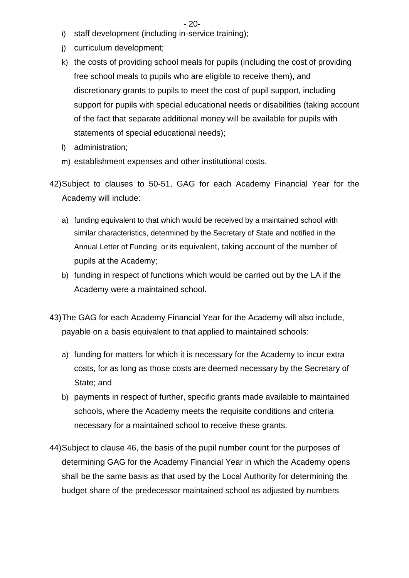- 20-
- i) staff development (including in-service training);
- j) curriculum development;
- k) the costs of providing school meals for pupils (including the cost of providing free school meals to pupils who are eligible to receive them), and discretionary grants to pupils to meet the cost of pupil support, including support for pupils with special educational needs or disabilities (taking account of the fact that separate additional money will be available for pupils with statements of special educational needs);
- l) administration;
- m) establishment expenses and other institutional costs.
- 42)Subject to clauses to 50-51, GAG for each Academy Financial Year for the Academy will include:
	- a) funding equivalent to that which would be received by a maintained school with similar characteristics, determined by the Secretary of State and notified in the Annual Letter of Funding or its equivalent, taking account of the number of pupils at the Academy;
	- b) funding in respect of functions which would be carried out by the LA if the Academy were a maintained school.
- 43)The GAG for each Academy Financial Year for the Academy will also include, payable on a basis equivalent to that applied to maintained schools:
	- a) funding for matters for which it is necessary for the Academy to incur extra costs, for as long as those costs are deemed necessary by the Secretary of State; and
	- b) payments in respect of further, specific grants made available to maintained schools, where the Academy meets the requisite conditions and criteria necessary for a maintained school to receive these grants.
- 44)Subject to clause 46, the basis of the pupil number count for the purposes of determining GAG for the Academy Financial Year in which the Academy opens shall be the same basis as that used by the Local Authority for determining the budget share of the predecessor maintained school as adjusted by numbers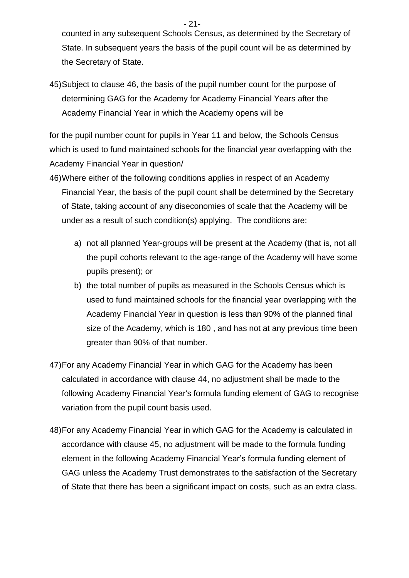counted in any subsequent Schools Census, as determined by the Secretary of State. In subsequent years the basis of the pupil count will be as determined by the Secretary of State.

45)Subject to clause 46, the basis of the pupil number count for the purpose of determining GAG for the Academy for Academy Financial Years after the Academy Financial Year in which the Academy opens will be

for the pupil number count for pupils in Year 11 and below, the Schools Census which is used to fund maintained schools for the financial year overlapping with the Academy Financial Year in question/

- 46)Where either of the following conditions applies in respect of an Academy Financial Year, the basis of the pupil count shall be determined by the Secretary of State, taking account of any diseconomies of scale that the Academy will be under as a result of such condition(s) applying. The conditions are:
	- a) not all planned Year-groups will be present at the Academy (that is, not all the pupil cohorts relevant to the age-range of the Academy will have some pupils present); or
	- b) the total number of pupils as measured in the Schools Census which is used to fund maintained schools for the financial year overlapping with the Academy Financial Year in question is less than 90% of the planned final size of the Academy, which is 180 , and has not at any previous time been greater than 90% of that number.
- 47)For any Academy Financial Year in which GAG for the Academy has been calculated in accordance with clause 44, no adjustment shall be made to the following Academy Financial Year's formula funding element of GAG to recognise variation from the pupil count basis used.
- 48)For any Academy Financial Year in which GAG for the Academy is calculated in accordance with clause 45, no adjustment will be made to the formula funding element in the following Academy Financial Year's formula funding element of GAG unless the Academy Trust demonstrates to the satisfaction of the Secretary of State that there has been a significant impact on costs, such as an extra class.

- 21-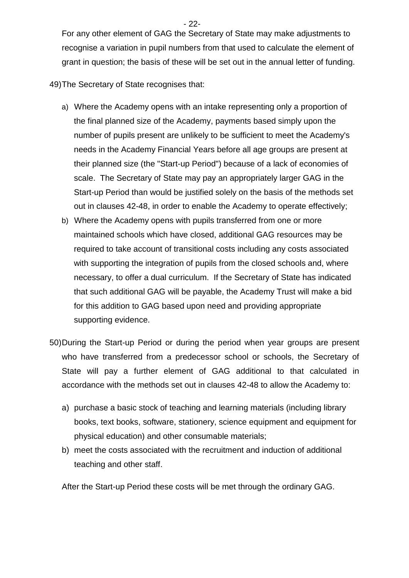- 22-

For any other element of GAG the Secretary of State may make adjustments to recognise a variation in pupil numbers from that used to calculate the element of grant in question; the basis of these will be set out in the annual letter of funding.

49)The Secretary of State recognises that:

- a) Where the Academy opens with an intake representing only a proportion of the final planned size of the Academy, payments based simply upon the number of pupils present are unlikely to be sufficient to meet the Academy's needs in the Academy Financial Years before all age groups are present at their planned size (the "Start-up Period") because of a lack of economies of scale. The Secretary of State may pay an appropriately larger GAG in the Start-up Period than would be justified solely on the basis of the methods set out in clauses 42-48, in order to enable the Academy to operate effectively;
- b) Where the Academy opens with pupils transferred from one or more maintained schools which have closed, additional GAG resources may be required to take account of transitional costs including any costs associated with supporting the integration of pupils from the closed schools and, where necessary, to offer a dual curriculum. If the Secretary of State has indicated that such additional GAG will be payable, the Academy Trust will make a bid for this addition to GAG based upon need and providing appropriate supporting evidence.
- 50)During the Start-up Period or during the period when year groups are present who have transferred from a predecessor school or schools, the Secretary of State will pay a further element of GAG additional to that calculated in accordance with the methods set out in clauses 42-48 to allow the Academy to:
	- a) purchase a basic stock of teaching and learning materials (including library books, text books, software, stationery, science equipment and equipment for physical education) and other consumable materials;
	- b) meet the costs associated with the recruitment and induction of additional teaching and other staff.

After the Start-up Period these costs will be met through the ordinary GAG.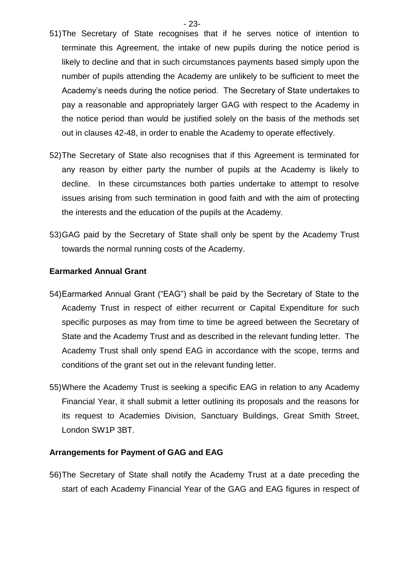- 23-

- 51)The Secretary of State recognises that if he serves notice of intention to terminate this Agreement, the intake of new pupils during the notice period is likely to decline and that in such circumstances payments based simply upon the number of pupils attending the Academy are unlikely to be sufficient to meet the Academy's needs during the notice period. The Secretary of State undertakes to pay a reasonable and appropriately larger GAG with respect to the Academy in the notice period than would be justified solely on the basis of the methods set out in clauses 42-48, in order to enable the Academy to operate effectively.
- 52)The Secretary of State also recognises that if this Agreement is terminated for any reason by either party the number of pupils at the Academy is likely to decline. In these circumstances both parties undertake to attempt to resolve issues arising from such termination in good faith and with the aim of protecting the interests and the education of the pupils at the Academy.
- 53)GAG paid by the Secretary of State shall only be spent by the Academy Trust towards the normal running costs of the Academy.

#### **Earmarked Annual Grant**

- 54)Earmarked Annual Grant ("EAG") shall be paid by the Secretary of State to the Academy Trust in respect of either recurrent or Capital Expenditure for such specific purposes as may from time to time be agreed between the Secretary of State and the Academy Trust and as described in the relevant funding letter. The Academy Trust shall only spend EAG in accordance with the scope, terms and conditions of the grant set out in the relevant funding letter.
- 55)Where the Academy Trust is seeking a specific EAG in relation to any Academy Financial Year, it shall submit a letter outlining its proposals and the reasons for its request to Academies Division, Sanctuary Buildings, Great Smith Street, London SW1P 3BT.

#### **Arrangements for Payment of GAG and EAG**

56)The Secretary of State shall notify the Academy Trust at a date preceding the start of each Academy Financial Year of the GAG and EAG figures in respect of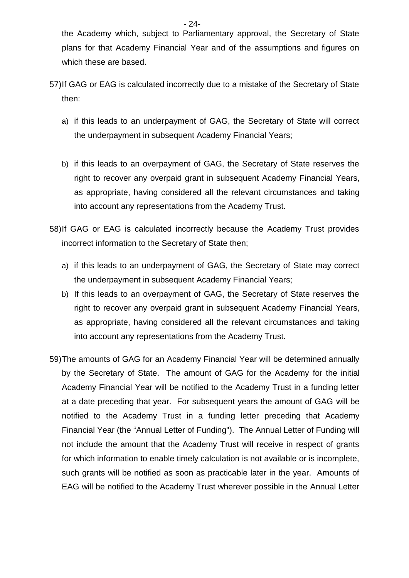the Academy which, subject to Parliamentary approval, the Secretary of State plans for that Academy Financial Year and of the assumptions and figures on which these are based.

- 57)If GAG or EAG is calculated incorrectly due to a mistake of the Secretary of State then:
	- a) if this leads to an underpayment of GAG, the Secretary of State will correct the underpayment in subsequent Academy Financial Years;
	- b) if this leads to an overpayment of GAG, the Secretary of State reserves the right to recover any overpaid grant in subsequent Academy Financial Years, as appropriate, having considered all the relevant circumstances and taking into account any representations from the Academy Trust.
- 58)If GAG or EAG is calculated incorrectly because the Academy Trust provides incorrect information to the Secretary of State then;
	- a) if this leads to an underpayment of GAG, the Secretary of State may correct the underpayment in subsequent Academy Financial Years;
	- b) If this leads to an overpayment of GAG, the Secretary of State reserves the right to recover any overpaid grant in subsequent Academy Financial Years, as appropriate, having considered all the relevant circumstances and taking into account any representations from the Academy Trust.
- 59)The amounts of GAG for an Academy Financial Year will be determined annually by the Secretary of State. The amount of GAG for the Academy for the initial Academy Financial Year will be notified to the Academy Trust in a funding letter at a date preceding that year. For subsequent years the amount of GAG will be notified to the Academy Trust in a funding letter preceding that Academy Financial Year (the "Annual Letter of Funding"). The Annual Letter of Funding will not include the amount that the Academy Trust will receive in respect of grants for which information to enable timely calculation is not available or is incomplete, such grants will be notified as soon as practicable later in the year. Amounts of EAG will be notified to the Academy Trust wherever possible in the Annual Letter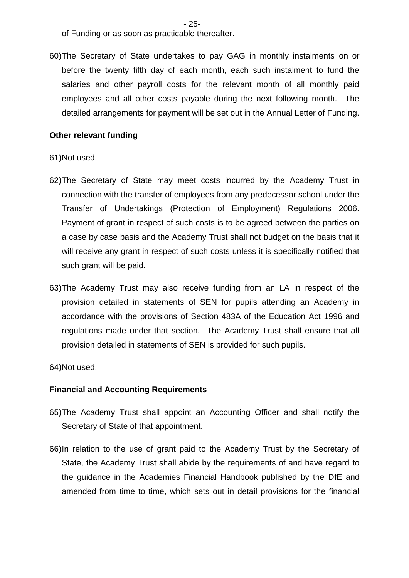- 25-

of Funding or as soon as practicable thereafter.

60)The Secretary of State undertakes to pay GAG in monthly instalments on or before the twenty fifth day of each month, each such instalment to fund the salaries and other payroll costs for the relevant month of all monthly paid employees and all other costs payable during the next following month. The detailed arrangements for payment will be set out in the Annual Letter of Funding.

#### **Other relevant funding**

#### 61)Not used.

- 62)The Secretary of State may meet costs incurred by the Academy Trust in connection with the transfer of employees from any predecessor school under the Transfer of Undertakings (Protection of Employment) Regulations 2006. Payment of grant in respect of such costs is to be agreed between the parties on a case by case basis and the Academy Trust shall not budget on the basis that it will receive any grant in respect of such costs unless it is specifically notified that such grant will be paid.
- 63)The Academy Trust may also receive funding from an LA in respect of the provision detailed in statements of SEN for pupils attending an Academy in accordance with the provisions of Section 483A of the Education Act 1996 and regulations made under that section. The Academy Trust shall ensure that all provision detailed in statements of SEN is provided for such pupils.

64)Not used.

#### **Financial and Accounting Requirements**

- 65)The Academy Trust shall appoint an Accounting Officer and shall notify the Secretary of State of that appointment.
- 66)In relation to the use of grant paid to the Academy Trust by the Secretary of State, the Academy Trust shall abide by the requirements of and have regard to the guidance in the Academies Financial Handbook published by the DfE and amended from time to time, which sets out in detail provisions for the financial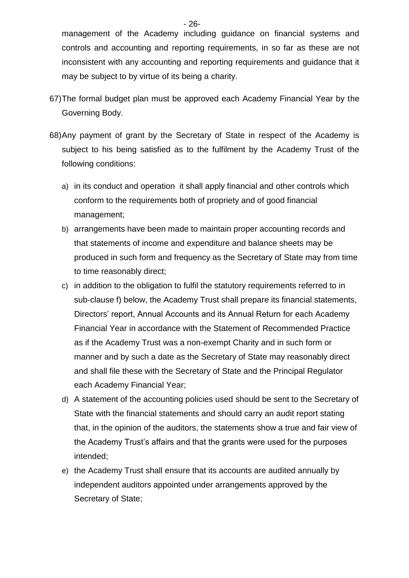management of the Academy including guidance on financial systems and controls and accounting and reporting requirements, in so far as these are not inconsistent with any accounting and reporting requirements and guidance that it may be subject to by virtue of its being a charity.

- 67)The formal budget plan must be approved each Academy Financial Year by the Governing Body.
- 68)Any payment of grant by the Secretary of State in respect of the Academy is subject to his being satisfied as to the fulfilment by the Academy Trust of the following conditions:
	- a) in its conduct and operation it shall apply financial and other controls which conform to the requirements both of propriety and of good financial management;
	- b) arrangements have been made to maintain proper accounting records and that statements of income and expenditure and balance sheets may be produced in such form and frequency as the Secretary of State may from time to time reasonably direct;
	- c) in addition to the obligation to fulfil the statutory requirements referred to in sub-clause f) below, the Academy Trust shall prepare its financial statements, Directors' report, Annual Accounts and its Annual Return for each Academy Financial Year in accordance with the Statement of Recommended Practice as if the Academy Trust was a non-exempt Charity and in such form or manner and by such a date as the Secretary of State may reasonably direct and shall file these with the Secretary of State and the Principal Regulator each Academy Financial Year;
	- d) A statement of the accounting policies used should be sent to the Secretary of State with the financial statements and should carry an audit report stating that, in the opinion of the auditors, the statements show a true and fair view of the Academy Trust's affairs and that the grants were used for the purposes intended;
	- e) the Academy Trust shall ensure that its accounts are audited annually by independent auditors appointed under arrangements approved by the Secretary of State;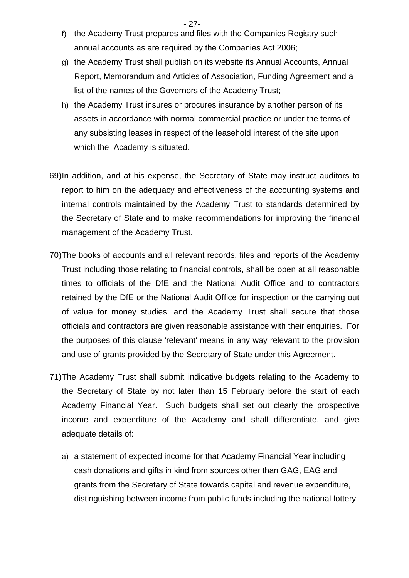- 27-
- f) the Academy Trust prepares and files with the Companies Registry such annual accounts as are required by the Companies Act 2006;
- g) the Academy Trust shall publish on its website its Annual Accounts, Annual Report, Memorandum and Articles of Association, Funding Agreement and a list of the names of the Governors of the Academy Trust;
- h) the Academy Trust insures or procures insurance by another person of its assets in accordance with normal commercial practice or under the terms of any subsisting leases in respect of the leasehold interest of the site upon which the Academy is situated.
- 69)In addition, and at his expense, the Secretary of State may instruct auditors to report to him on the adequacy and effectiveness of the accounting systems and internal controls maintained by the Academy Trust to standards determined by the Secretary of State and to make recommendations for improving the financial management of the Academy Trust.
- 70)The books of accounts and all relevant records, files and reports of the Academy Trust including those relating to financial controls, shall be open at all reasonable times to officials of the DfE and the National Audit Office and to contractors retained by the DfE or the National Audit Office for inspection or the carrying out of value for money studies; and the Academy Trust shall secure that those officials and contractors are given reasonable assistance with their enquiries. For the purposes of this clause 'relevant' means in any way relevant to the provision and use of grants provided by the Secretary of State under this Agreement.
- 71)The Academy Trust shall submit indicative budgets relating to the Academy to the Secretary of State by not later than 15 February before the start of each Academy Financial Year. Such budgets shall set out clearly the prospective income and expenditure of the Academy and shall differentiate, and give adequate details of:
	- a) a statement of expected income for that Academy Financial Year including cash donations and gifts in kind from sources other than GAG, EAG and grants from the Secretary of State towards capital and revenue expenditure, distinguishing between income from public funds including the national lottery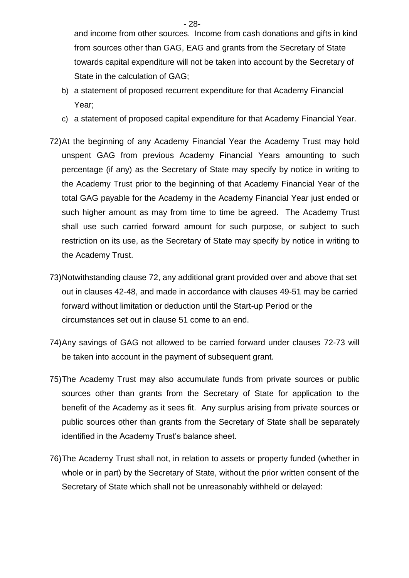and income from other sources. Income from cash donations and gifts in kind from sources other than GAG, EAG and grants from the Secretary of State towards capital expenditure will not be taken into account by the Secretary of State in the calculation of GAG;

- b) a statement of proposed recurrent expenditure for that Academy Financial Year;
- c) a statement of proposed capital expenditure for that Academy Financial Year.
- 72)At the beginning of any Academy Financial Year the Academy Trust may hold unspent GAG from previous Academy Financial Years amounting to such percentage (if any) as the Secretary of State may specify by notice in writing to the Academy Trust prior to the beginning of that Academy Financial Year of the total GAG payable for the Academy in the Academy Financial Year just ended or such higher amount as may from time to time be agreed. The Academy Trust shall use such carried forward amount for such purpose, or subject to such restriction on its use, as the Secretary of State may specify by notice in writing to the Academy Trust.
- 73)Notwithstanding clause 72, any additional grant provided over and above that set out in clauses 42-48, and made in accordance with clauses 49-51 may be carried forward without limitation or deduction until the Start-up Period or the circumstances set out in clause 51 come to an end.
- 74)Any savings of GAG not allowed to be carried forward under clauses 72-73 will be taken into account in the payment of subsequent grant.
- 75)The Academy Trust may also accumulate funds from private sources or public sources other than grants from the Secretary of State for application to the benefit of the Academy as it sees fit. Any surplus arising from private sources or public sources other than grants from the Secretary of State shall be separately identified in the Academy Trust's balance sheet.
- 76)The Academy Trust shall not, in relation to assets or property funded (whether in whole or in part) by the Secretary of State, without the prior written consent of the Secretary of State which shall not be unreasonably withheld or delayed:

- 28-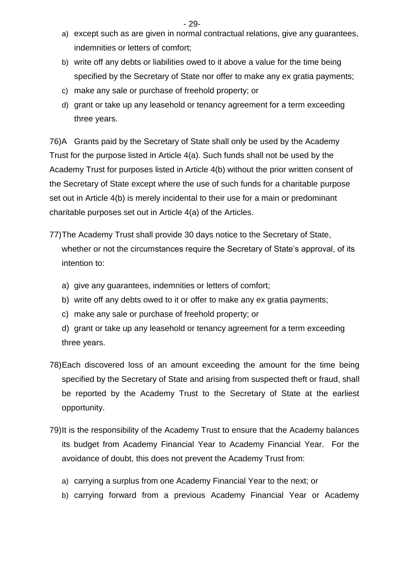- 29-

- a) except such as are given in normal contractual relations, give any guarantees, indemnities or letters of comfort;
- b) write off any debts or liabilities owed to it above a value for the time being specified by the Secretary of State nor offer to make any ex gratia payments;
- c) make any sale or purchase of freehold property; or
- d) grant or take up any leasehold or tenancy agreement for a term exceeding three years.

76)A Grants paid by the Secretary of State shall only be used by the Academy Trust for the purpose listed in Article 4(a). Such funds shall not be used by the Academy Trust for purposes listed in Article 4(b) without the prior written consent of the Secretary of State except where the use of such funds for a charitable purpose set out in Article 4(b) is merely incidental to their use for a main or predominant charitable purposes set out in Article 4(a) of the Articles.

- 77)The Academy Trust shall provide 30 days notice to the Secretary of State, whether or not the circumstances require the Secretary of State's approval, of its intention to:
	- a) give any guarantees, indemnities or letters of comfort;
	- b) write off any debts owed to it or offer to make any ex gratia payments;
	- c) make any sale or purchase of freehold property; or
	- d) grant or take up any leasehold or tenancy agreement for a term exceeding three years.
- 78)Each discovered loss of an amount exceeding the amount for the time being specified by the Secretary of State and arising from suspected theft or fraud, shall be reported by the Academy Trust to the Secretary of State at the earliest opportunity.
- 79)It is the responsibility of the Academy Trust to ensure that the Academy balances its budget from Academy Financial Year to Academy Financial Year. For the avoidance of doubt, this does not prevent the Academy Trust from:
	- a) carrying a surplus from one Academy Financial Year to the next; or
	- b) carrying forward from a previous Academy Financial Year or Academy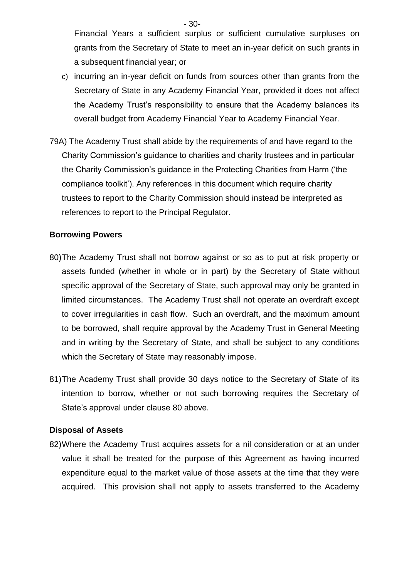Financial Years a sufficient surplus or sufficient cumulative surpluses on grants from the Secretary of State to meet an in-year deficit on such grants in a subsequent financial year; or

- c) incurring an in-year deficit on funds from sources other than grants from the Secretary of State in any Academy Financial Year, provided it does not affect the Academy Trust's responsibility to ensure that the Academy balances its overall budget from Academy Financial Year to Academy Financial Year.
- 79A) The Academy Trust shall abide by the requirements of and have regard to the Charity Commission's guidance to charities and charity trustees and in particular the Charity Commission's guidance in the Protecting Charities from Harm ('the compliance toolkit'). Any references in this document which require charity trustees to report to the Charity Commission should instead be interpreted as references to report to the Principal Regulator.

#### **Borrowing Powers**

- 80)The Academy Trust shall not borrow against or so as to put at risk property or assets funded (whether in whole or in part) by the Secretary of State without specific approval of the Secretary of State, such approval may only be granted in limited circumstances. The Academy Trust shall not operate an overdraft except to cover irregularities in cash flow. Such an overdraft, and the maximum amount to be borrowed, shall require approval by the Academy Trust in General Meeting and in writing by the Secretary of State, and shall be subject to any conditions which the Secretary of State may reasonably impose.
- 81)The Academy Trust shall provide 30 days notice to the Secretary of State of its intention to borrow, whether or not such borrowing requires the Secretary of State's approval under clause 80 above.

#### **Disposal of Assets**

82)Where the Academy Trust acquires assets for a nil consideration or at an under value it shall be treated for the purpose of this Agreement as having incurred expenditure equal to the market value of those assets at the time that they were acquired. This provision shall not apply to assets transferred to the Academy

- 30-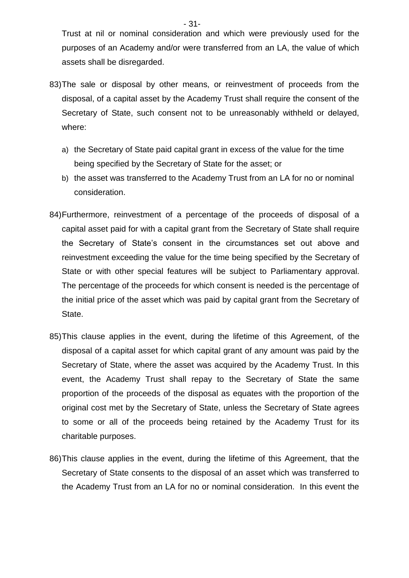Trust at nil or nominal consideration and which were previously used for the purposes of an Academy and/or were transferred from an LA, the value of which assets shall be disregarded.

- 83)The sale or disposal by other means, or reinvestment of proceeds from the disposal, of a capital asset by the Academy Trust shall require the consent of the Secretary of State, such consent not to be unreasonably withheld or delayed, where:
	- a) the Secretary of State paid capital grant in excess of the value for the time being specified by the Secretary of State for the asset; or
	- b) the asset was transferred to the Academy Trust from an LA for no or nominal consideration.
- 84)Furthermore, reinvestment of a percentage of the proceeds of disposal of a capital asset paid for with a capital grant from the Secretary of State shall require the Secretary of State's consent in the circumstances set out above and reinvestment exceeding the value for the time being specified by the Secretary of State or with other special features will be subject to Parliamentary approval. The percentage of the proceeds for which consent is needed is the percentage of the initial price of the asset which was paid by capital grant from the Secretary of State.
- 85)This clause applies in the event, during the lifetime of this Agreement, of the disposal of a capital asset for which capital grant of any amount was paid by the Secretary of State, where the asset was acquired by the Academy Trust. In this event, the Academy Trust shall repay to the Secretary of State the same proportion of the proceeds of the disposal as equates with the proportion of the original cost met by the Secretary of State, unless the Secretary of State agrees to some or all of the proceeds being retained by the Academy Trust for its charitable purposes.
- 86)This clause applies in the event, during the lifetime of this Agreement, that the Secretary of State consents to the disposal of an asset which was transferred to the Academy Trust from an LA for no or nominal consideration. In this event the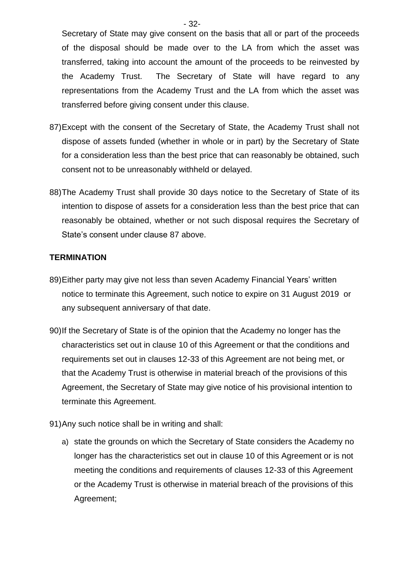Secretary of State may give consent on the basis that all or part of the proceeds of the disposal should be made over to the LA from which the asset was transferred, taking into account the amount of the proceeds to be reinvested by the Academy Trust. The Secretary of State will have regard to any representations from the Academy Trust and the LA from which the asset was transferred before giving consent under this clause.

- 87)Except with the consent of the Secretary of State, the Academy Trust shall not dispose of assets funded (whether in whole or in part) by the Secretary of State for a consideration less than the best price that can reasonably be obtained, such consent not to be unreasonably withheld or delayed.
- 88)The Academy Trust shall provide 30 days notice to the Secretary of State of its intention to dispose of assets for a consideration less than the best price that can reasonably be obtained, whether or not such disposal requires the Secretary of State's consent under clause 87 above.

#### **TERMINATION**

- 89)Either party may give not less than seven Academy Financial Years' written notice to terminate this Agreement, such notice to expire on 31 August 2019 or any subsequent anniversary of that date.
- 90)If the Secretary of State is of the opinion that the Academy no longer has the characteristics set out in clause 10 of this Agreement or that the conditions and requirements set out in clauses 12-33 of this Agreement are not being met, or that the Academy Trust is otherwise in material breach of the provisions of this Agreement, the Secretary of State may give notice of his provisional intention to terminate this Agreement.
- 91)Any such notice shall be in writing and shall:
	- a) state the grounds on which the Secretary of State considers the Academy no longer has the characteristics set out in clause 10 of this Agreement or is not meeting the conditions and requirements of clauses 12-33 of this Agreement or the Academy Trust is otherwise in material breach of the provisions of this Agreement;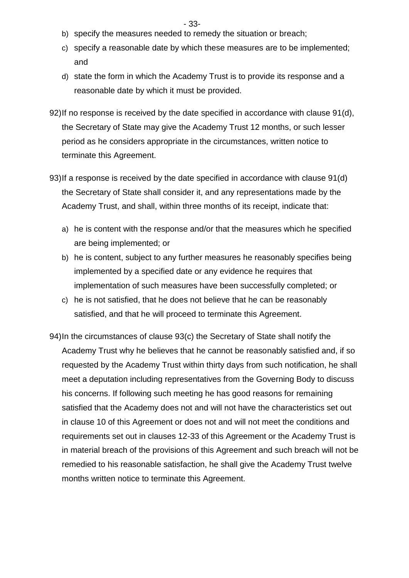- 33-
- b) specify the measures needed to remedy the situation or breach;
- c) specify a reasonable date by which these measures are to be implemented; and
- d) state the form in which the Academy Trust is to provide its response and a reasonable date by which it must be provided.
- 92)If no response is received by the date specified in accordance with clause 91(d), the Secretary of State may give the Academy Trust 12 months, or such lesser period as he considers appropriate in the circumstances, written notice to terminate this Agreement.
- 93)If a response is received by the date specified in accordance with clause 91(d) the Secretary of State shall consider it, and any representations made by the Academy Trust, and shall, within three months of its receipt, indicate that:
	- a) he is content with the response and/or that the measures which he specified are being implemented; or
	- b) he is content, subject to any further measures he reasonably specifies being implemented by a specified date or any evidence he requires that implementation of such measures have been successfully completed; or
	- c) he is not satisfied, that he does not believe that he can be reasonably satisfied, and that he will proceed to terminate this Agreement.
- 94)In the circumstances of clause 93(c) the Secretary of State shall notify the Academy Trust why he believes that he cannot be reasonably satisfied and, if so requested by the Academy Trust within thirty days from such notification, he shall meet a deputation including representatives from the Governing Body to discuss his concerns. If following such meeting he has good reasons for remaining satisfied that the Academy does not and will not have the characteristics set out in clause 10 of this Agreement or does not and will not meet the conditions and requirements set out in clauses 12-33 of this Agreement or the Academy Trust is in material breach of the provisions of this Agreement and such breach will not be remedied to his reasonable satisfaction, he shall give the Academy Trust twelve months written notice to terminate this Agreement.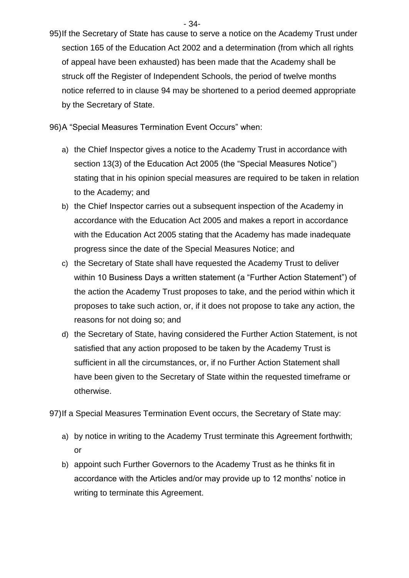- 34-

95)If the Secretary of State has cause to serve a notice on the Academy Trust under section 165 of the Education Act 2002 and a determination (from which all rights of appeal have been exhausted) has been made that the Academy shall be struck off the Register of Independent Schools, the period of twelve months notice referred to in clause 94 may be shortened to a period deemed appropriate by the Secretary of State.

96)A "Special Measures Termination Event Occurs" when:

- a) the Chief Inspector gives a notice to the Academy Trust in accordance with section 13(3) of the Education Act 2005 (the "Special Measures Notice") stating that in his opinion special measures are required to be taken in relation to the Academy; and
- b) the Chief Inspector carries out a subsequent inspection of the Academy in accordance with the Education Act 2005 and makes a report in accordance with the Education Act 2005 stating that the Academy has made inadequate progress since the date of the Special Measures Notice; and
- c) the Secretary of State shall have requested the Academy Trust to deliver within 10 Business Days a written statement (a "Further Action Statement") of the action the Academy Trust proposes to take, and the period within which it proposes to take such action, or, if it does not propose to take any action, the reasons for not doing so; and
- d) the Secretary of State, having considered the Further Action Statement, is not satisfied that any action proposed to be taken by the Academy Trust is sufficient in all the circumstances, or, if no Further Action Statement shall have been given to the Secretary of State within the requested timeframe or otherwise.

97)If a Special Measures Termination Event occurs, the Secretary of State may:

- a) by notice in writing to the Academy Trust terminate this Agreement forthwith; or
- b) appoint such Further Governors to the Academy Trust as he thinks fit in accordance with the Articles and/or may provide up to 12 months' notice in writing to terminate this Agreement.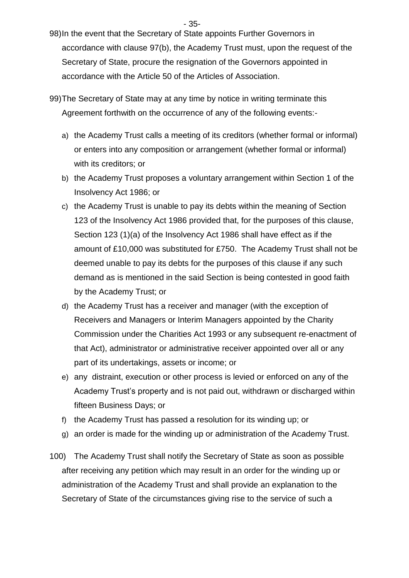- 35-

- 98)In the event that the Secretary of State appoints Further Governors in accordance with clause 97(b), the Academy Trust must, upon the request of the Secretary of State, procure the resignation of the Governors appointed in accordance with the Article 50 of the Articles of Association.
- 99)The Secretary of State may at any time by notice in writing terminate this Agreement forthwith on the occurrence of any of the following events:
	- a) the Academy Trust calls a meeting of its creditors (whether formal or informal) or enters into any composition or arrangement (whether formal or informal) with its creditors; or
	- b) the Academy Trust proposes a voluntary arrangement within Section 1 of the Insolvency Act 1986; or
	- c) the Academy Trust is unable to pay its debts within the meaning of Section 123 of the Insolvency Act 1986 provided that, for the purposes of this clause, Section 123 (1)(a) of the Insolvency Act 1986 shall have effect as if the amount of £10,000 was substituted for £750. The Academy Trust shall not be deemed unable to pay its debts for the purposes of this clause if any such demand as is mentioned in the said Section is being contested in good faith by the Academy Trust; or
	- d) the Academy Trust has a receiver and manager (with the exception of Receivers and Managers or Interim Managers appointed by the Charity Commission under the Charities Act 1993 or any subsequent re-enactment of that Act), administrator or administrative receiver appointed over all or any part of its undertakings, assets or income; or
	- e) any distraint, execution or other process is levied or enforced on any of the Academy Trust's property and is not paid out, withdrawn or discharged within fifteen Business Days; or
	- f) the Academy Trust has passed a resolution for its winding up; or
	- g) an order is made for the winding up or administration of the Academy Trust.
- 100) The Academy Trust shall notify the Secretary of State as soon as possible after receiving any petition which may result in an order for the winding up or administration of the Academy Trust and shall provide an explanation to the Secretary of State of the circumstances giving rise to the service of such a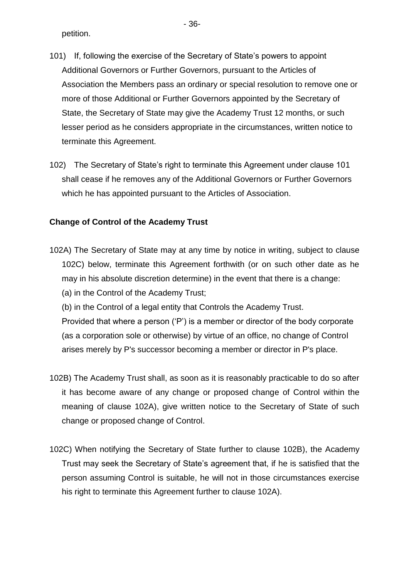petition.

- 101) If, following the exercise of the Secretary of State's powers to appoint Additional Governors or Further Governors, pursuant to the Articles of Association the Members pass an ordinary or special resolution to remove one or more of those Additional or Further Governors appointed by the Secretary of State, the Secretary of State may give the Academy Trust 12 months, or such lesser period as he considers appropriate in the circumstances, written notice to terminate this Agreement.
- 102) The Secretary of State's right to terminate this Agreement under clause 101 shall cease if he removes any of the Additional Governors or Further Governors which he has appointed pursuant to the Articles of Association.

#### **Change of Control of the Academy Trust**

- 102A) The Secretary of State may at any time by notice in writing, subject to clause 102C) below, terminate this Agreement forthwith (or on such other date as he may in his absolute discretion determine) in the event that there is a change:
	- (a) in the Control of the Academy Trust;
	- (b) in the Control of a legal entity that Controls the Academy Trust.

Provided that where a person ('P') is a member or director of the body corporate (as a corporation sole or otherwise) by virtue of an office, no change of Control arises merely by P's successor becoming a member or director in P's place.

- 102B) The Academy Trust shall, as soon as it is reasonably practicable to do so after it has become aware of any change or proposed change of Control within the meaning of clause 102A), give written notice to the Secretary of State of such change or proposed change of Control.
- 102C) When notifying the Secretary of State further to clause 102B), the Academy Trust may seek the Secretary of State's agreement that, if he is satisfied that the person assuming Control is suitable, he will not in those circumstances exercise his right to terminate this Agreement further to clause 102A).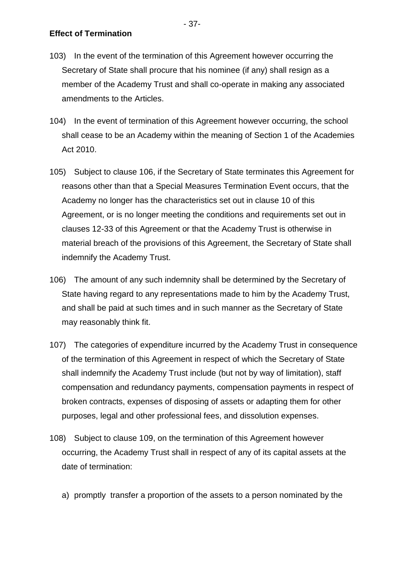- 103) In the event of the termination of this Agreement however occurring the Secretary of State shall procure that his nominee (if any) shall resign as a member of the Academy Trust and shall co-operate in making any associated amendments to the Articles.
- 104) In the event of termination of this Agreement however occurring, the school shall cease to be an Academy within the meaning of Section 1 of the Academies Act 2010.
- 105) Subject to clause 106, if the Secretary of State terminates this Agreement for reasons other than that a Special Measures Termination Event occurs, that the Academy no longer has the characteristics set out in clause 10 of this Agreement, or is no longer meeting the conditions and requirements set out in clauses 12-33 of this Agreement or that the Academy Trust is otherwise in material breach of the provisions of this Agreement, the Secretary of State shall indemnify the Academy Trust.
- 106) The amount of any such indemnity shall be determined by the Secretary of State having regard to any representations made to him by the Academy Trust, and shall be paid at such times and in such manner as the Secretary of State may reasonably think fit.
- 107) The categories of expenditure incurred by the Academy Trust in consequence of the termination of this Agreement in respect of which the Secretary of State shall indemnify the Academy Trust include (but not by way of limitation), staff compensation and redundancy payments, compensation payments in respect of broken contracts, expenses of disposing of assets or adapting them for other purposes, legal and other professional fees, and dissolution expenses.
- 108) Subject to clause 109, on the termination of this Agreement however occurring, the Academy Trust shall in respect of any of its capital assets at the date of termination:
	- a) promptly transfer a proportion of the assets to a person nominated by the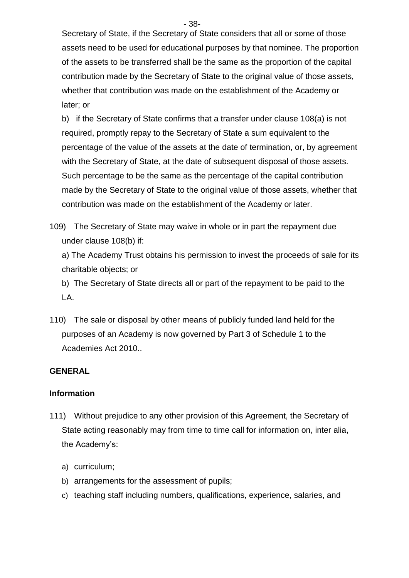- 38-

Secretary of State, if the Secretary of State considers that all or some of those assets need to be used for educational purposes by that nominee. The proportion of the assets to be transferred shall be the same as the proportion of the capital contribution made by the Secretary of State to the original value of those assets, whether that contribution was made on the establishment of the Academy or later; or

b) if the Secretary of State confirms that a transfer under clause 108(a) is not required, promptly repay to the Secretary of State a sum equivalent to the percentage of the value of the assets at the date of termination, or, by agreement with the Secretary of State, at the date of subsequent disposal of those assets. Such percentage to be the same as the percentage of the capital contribution made by the Secretary of State to the original value of those assets, whether that contribution was made on the establishment of the Academy or later.

109) The Secretary of State may waive in whole or in part the repayment due under clause 108(b) if:

a) The Academy Trust obtains his permission to invest the proceeds of sale for its charitable objects; or

b) The Secretary of State directs all or part of the repayment to be paid to the LA.

110) The sale or disposal by other means of publicly funded land held for the purposes of an Academy is now governed by Part 3 of Schedule 1 to the Academies Act 2010..

### **GENERAL**

#### **Information**

- 111) Without prejudice to any other provision of this Agreement, the Secretary of State acting reasonably may from time to time call for information on, inter alia, the Academy's:
	- a) curriculum;
	- b) arrangements for the assessment of pupils;
	- c) teaching staff including numbers, qualifications, experience, salaries, and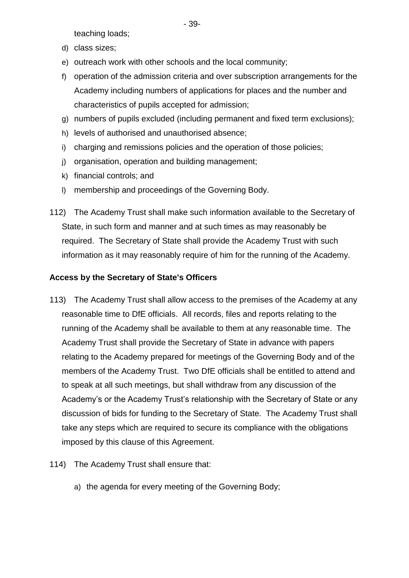teaching loads;

- d) class sizes;
- e) outreach work with other schools and the local community;
- f) operation of the admission criteria and over subscription arrangements for the Academy including numbers of applications for places and the number and characteristics of pupils accepted for admission;
- g) numbers of pupils excluded (including permanent and fixed term exclusions);
- h) levels of authorised and unauthorised absence;
- i) charging and remissions policies and the operation of those policies;
- j) organisation, operation and building management;
- k) financial controls; and
- l) membership and proceedings of the Governing Body.
- 112) The Academy Trust shall make such information available to the Secretary of State, in such form and manner and at such times as may reasonably be required. The Secretary of State shall provide the Academy Trust with such information as it may reasonably require of him for the running of the Academy.

### **Access by the Secretary of State's Officers**

- 113) The Academy Trust shall allow access to the premises of the Academy at any reasonable time to DfE officials. All records, files and reports relating to the running of the Academy shall be available to them at any reasonable time. The Academy Trust shall provide the Secretary of State in advance with papers relating to the Academy prepared for meetings of the Governing Body and of the members of the Academy Trust. Two DfE officials shall be entitled to attend and to speak at all such meetings, but shall withdraw from any discussion of the Academy's or the Academy Trust's relationship with the Secretary of State or any discussion of bids for funding to the Secretary of State. The Academy Trust shall take any steps which are required to secure its compliance with the obligations imposed by this clause of this Agreement.
- 114) The Academy Trust shall ensure that:
	- a) the agenda for every meeting of the Governing Body;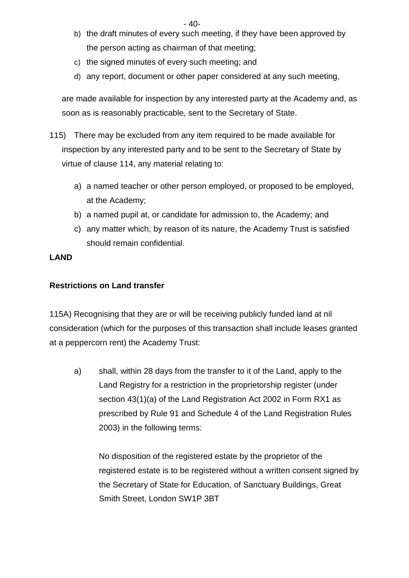- 40-

- b) the draft minutes of every such meeting, if they have been approved by the person acting as chairman of that meeting;
- c) the signed minutes of every such meeting; and
- d) any report, document or other paper considered at any such meeting,

are made available for inspection by any interested party at the Academy and, as soon as is reasonably practicable, sent to the Secretary of State.

- 115) There may be excluded from any item required to be made available for inspection by any interested party and to be sent to the Secretary of State by virtue of clause 114, any material relating to:
	- a) a named teacher or other person employed, or proposed to be employed, at the Academy;
	- b) a named pupil at, or candidate for admission to, the Academy; and
	- c) any matter which, by reason of its nature, the Academy Trust is satisfied should remain confidential.

#### **LAND**

### **Restrictions on Land transfer**

115A) Recognising that they are or will be receiving publicly funded land at nil consideration (which for the purposes of this transaction shall include leases granted at a peppercorn rent) the Academy Trust:

a) shall, within 28 days from the transfer to it of the Land, apply to the Land Registry for a restriction in the proprietorship register (under section 43(1)(a) of the Land Registration Act 2002 in Form RX1 as prescribed by Rule 91 and Schedule 4 of the Land Registration Rules 2003) in the following terms:

No disposition of the registered estate by the proprietor of the registered estate is to be registered without a written consent signed by the Secretary of State for Education, of Sanctuary Buildings, Great Smith Street, London SW1P 3BT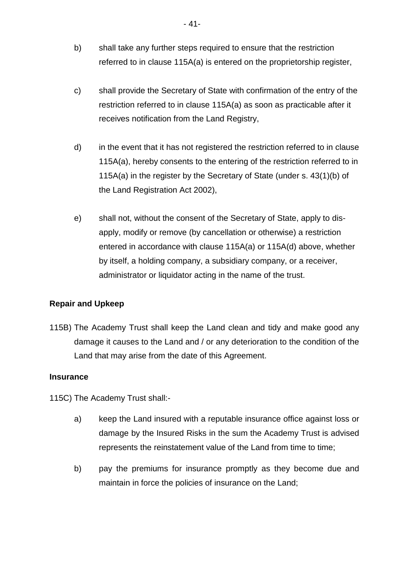- b) shall take any further steps required to ensure that the restriction referred to in clause 115A(a) is entered on the proprietorship register,
- c) shall provide the Secretary of State with confirmation of the entry of the restriction referred to in clause 115A(a) as soon as practicable after it receives notification from the Land Registry,
- d) in the event that it has not registered the restriction referred to in clause 115A(a), hereby consents to the entering of the restriction referred to in 115A(a) in the register by the Secretary of State (under s. 43(1)(b) of the Land Registration Act 2002),
- e) shall not, without the consent of the Secretary of State, apply to disapply, modify or remove (by cancellation or otherwise) a restriction entered in accordance with clause 115A(a) or 115A(d) above, whether by itself, a holding company, a subsidiary company, or a receiver, administrator or liquidator acting in the name of the trust.

### **Repair and Upkeep**

115B) The Academy Trust shall keep the Land clean and tidy and make good any damage it causes to the Land and / or any deterioration to the condition of the Land that may arise from the date of this Agreement.

#### **Insurance**

115C) The Academy Trust shall:-

- a) keep the Land insured with a reputable insurance office against loss or damage by the Insured Risks in the sum the Academy Trust is advised represents the reinstatement value of the Land from time to time;
- b) pay the premiums for insurance promptly as they become due and maintain in force the policies of insurance on the Land;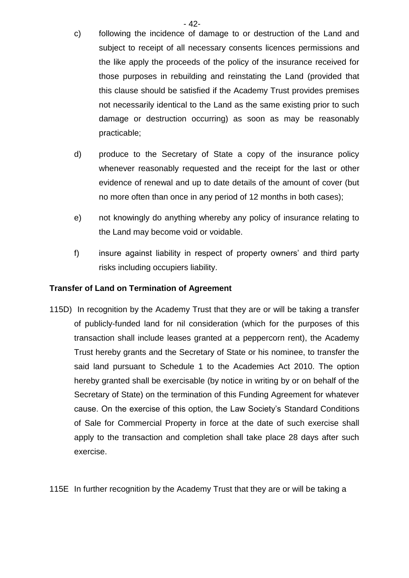- c) following the incidence of damage to or destruction of the Land and subject to receipt of all necessary consents licences permissions and the like apply the proceeds of the policy of the insurance received for those purposes in rebuilding and reinstating the Land (provided that this clause should be satisfied if the Academy Trust provides premises not necessarily identical to the Land as the same existing prior to such damage or destruction occurring) as soon as may be reasonably practicable;
- d) produce to the Secretary of State a copy of the insurance policy whenever reasonably requested and the receipt for the last or other evidence of renewal and up to date details of the amount of cover (but no more often than once in any period of 12 months in both cases);
- e) not knowingly do anything whereby any policy of insurance relating to the Land may become void or voidable.
- f) insure against liability in respect of property owners' and third party risks including occupiers liability.

### **Transfer of Land on Termination of Agreement**

115D) In recognition by the Academy Trust that they are or will be taking a transfer of publicly-funded land for nil consideration (which for the purposes of this transaction shall include leases granted at a peppercorn rent), the Academy Trust hereby grants and the Secretary of State or his nominee, to transfer the said land pursuant to Schedule 1 to the Academies Act 2010. The option hereby granted shall be exercisable (by notice in writing by or on behalf of the Secretary of State) on the termination of this Funding Agreement for whatever cause. On the exercise of this option, the Law Society's Standard Conditions of Sale for Commercial Property in force at the date of such exercise shall apply to the transaction and completion shall take place 28 days after such exercise.

115E In further recognition by the Academy Trust that they are or will be taking a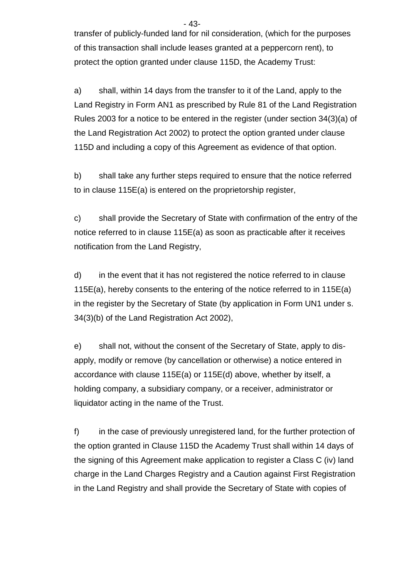transfer of publicly-funded land for nil consideration, (which for the purposes of this transaction shall include leases granted at a peppercorn rent), to protect the option granted under clause 115D, the Academy Trust:

a) shall, within 14 days from the transfer to it of the Land, apply to the Land Registry in Form AN1 as prescribed by Rule 81 of the Land Registration Rules 2003 for a notice to be entered in the register (under section 34(3)(a) of the Land Registration Act 2002) to protect the option granted under clause 115D and including a copy of this Agreement as evidence of that option.

b) shall take any further steps required to ensure that the notice referred to in clause 115E(a) is entered on the proprietorship register,

c) shall provide the Secretary of State with confirmation of the entry of the notice referred to in clause 115E(a) as soon as practicable after it receives notification from the Land Registry,

d) in the event that it has not registered the notice referred to in clause 115E(a), hereby consents to the entering of the notice referred to in 115E(a) in the register by the Secretary of State (by application in Form UN1 under s. 34(3)(b) of the Land Registration Act 2002),

e) shall not, without the consent of the Secretary of State, apply to disapply, modify or remove (by cancellation or otherwise) a notice entered in accordance with clause 115E(a) or 115E(d) above, whether by itself, a holding company, a subsidiary company, or a receiver, administrator or liquidator acting in the name of the Trust.

f) in the case of previously unregistered land, for the further protection of the option granted in Clause 115D the Academy Trust shall within 14 days of the signing of this Agreement make application to register a Class C (iv) land charge in the Land Charges Registry and a Caution against First Registration in the Land Registry and shall provide the Secretary of State with copies of

- 43-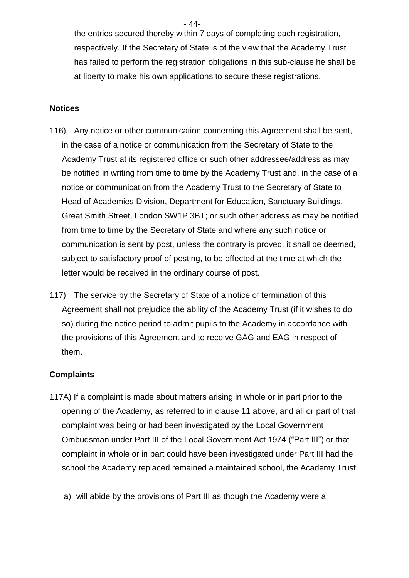the entries secured thereby within 7 days of completing each registration, respectively. If the Secretary of State is of the view that the Academy Trust has failed to perform the registration obligations in this sub-clause he shall be at liberty to make his own applications to secure these registrations.

#### **Notices**

- 116) Any notice or other communication concerning this Agreement shall be sent, in the case of a notice or communication from the Secretary of State to the Academy Trust at its registered office or such other addressee/address as may be notified in writing from time to time by the Academy Trust and, in the case of a notice or communication from the Academy Trust to the Secretary of State to Head of Academies Division, Department for Education, Sanctuary Buildings, Great Smith Street, London SW1P 3BT; or such other address as may be notified from time to time by the Secretary of State and where any such notice or communication is sent by post, unless the contrary is proved, it shall be deemed, subject to satisfactory proof of posting, to be effected at the time at which the letter would be received in the ordinary course of post.
- 117) The service by the Secretary of State of a notice of termination of this Agreement shall not prejudice the ability of the Academy Trust (if it wishes to do so) during the notice period to admit pupils to the Academy in accordance with the provisions of this Agreement and to receive GAG and EAG in respect of them.

#### **Complaints**

- 117A) If a complaint is made about matters arising in whole or in part prior to the opening of the Academy, as referred to in clause 11 above, and all or part of that complaint was being or had been investigated by the Local Government Ombudsman under Part III of the Local Government Act 1974 ("Part III") or that complaint in whole or in part could have been investigated under Part III had the school the Academy replaced remained a maintained school, the Academy Trust:
	- a) will abide by the provisions of Part III as though the Academy were a

- 44-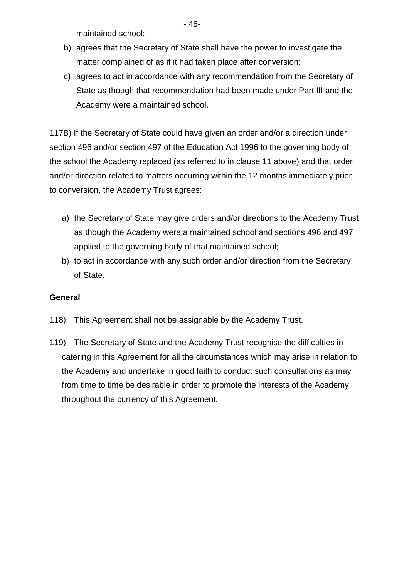maintained school;

b) agrees that the Secretary of State shall have the power to investigate the matter complained of as if it had taken place after conversion;

c) agrees to act in accordance with any recommendation from the Secretary of State as though that recommendation had been made under Part III and the Academy were a maintained school.

117B) If the Secretary of State could have given an order and/or a direction under section 496 and/or section 497 of the Education Act 1996 to the governing body of the school the Academy replaced (as referred to in clause 11 above) and that order and/or direction related to matters occurring within the 12 months immediately prior to conversion, the Academy Trust agrees:

- a) the Secretary of State may give orders and/or directions to the Academy Trust as though the Academy were a maintained school and sections 496 and 497 applied to the governing body of that maintained school;
- b) to act in accordance with any such order and/or direction from the Secretary of State.

### **General**

- 118) This Agreement shall not be assignable by the Academy Trust.
- 119) The Secretary of State and the Academy Trust recognise the difficulties in catering in this Agreement for all the circumstances which may arise in relation to the Academy and undertake in good faith to conduct such consultations as may from time to time be desirable in order to promote the interests of the Academy throughout the currency of this Agreement.